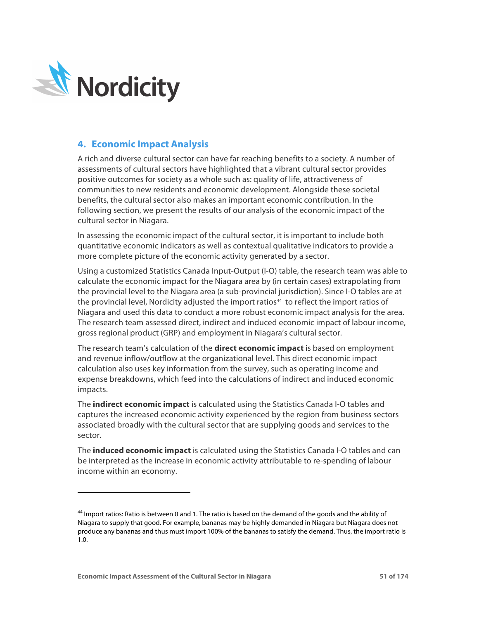

-

# **4. Economic Impact Analysis**

A rich and diverse cultural sector can have far reaching benefits to a society. A number of assessments of cultural sectors have highlighted that a vibrant cultural sector provides positive outcomes for society as a whole such as: quality of life, attractiveness of communities to new residents and economic development. Alongside these societal benefits, the cultural sector also makes an important economic contribution. In the following section, we present the results of our analysis of the economic impact of the cultural sector in Niagara.

In assessing the economic impact of the cultural sector, it is important to include both quantitative economic indicators as well as contextual qualitative indicators to provide a more complete picture of the economic activity generated by a sector.

Using a customized Statistics Canada Input-Output (I-O) table, the research team was able to calculate the economic impact for the Niagara area by (in certain cases) extrapolating from the provincial level to the Niagara area (a sub-provincial jurisdiction). Since I-O tables are at the provincial level, Nordicity adjusted the import ratios<sup>44</sup> to reflect the import ratios of Niagara and used this data to conduct a more robust economic impact analysis for the area. The research team assessed direct, indirect and induced economic impact of labour income, gross regional product (GRP) and employment in Niagara's cultural sector.

The research team's calculation of the **direct economic impact** is based on employment and revenue inflow/outflow at the organizational level. This direct economic impact calculation also uses key information from the survey, such as operating income and expense breakdowns, which feed into the calculations of indirect and induced economic impacts.

The **indirect economic impact** is calculated using the Statistics Canada I-O tables and captures the increased economic activity experienced by the region from business sectors associated broadly with the cultural sector that are supplying goods and services to the sector.

The **induced economic impact** is calculated using the Statistics Canada I-O tables and can be interpreted as the increase in economic activity attributable to re-spending of labour income within an economy.

<sup>44</sup> Import ratios: Ratio is between 0 and 1. The ratio is based on the demand of the goods and the ability of Niagara to supply that good. For example, bananas may be highly demanded in Niagara but Niagara does not produce any bananas and thus must import 100% of the bananas to satisfy the demand. Thus, the import ratio is 1.0.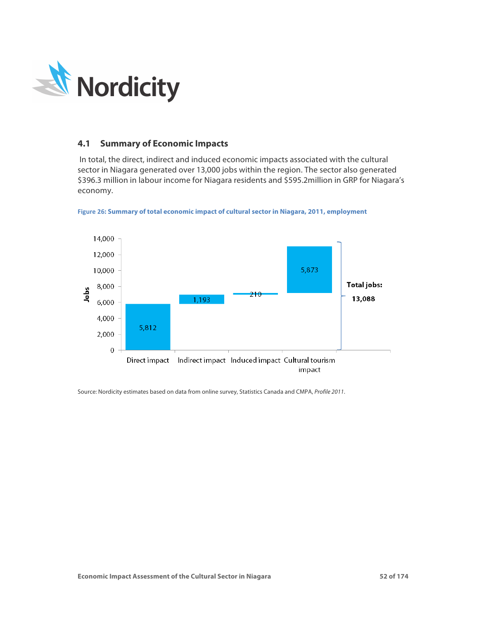

# **4.1 Summary of Economic Impacts**

In total, the direct, indirect and induced economic impacts associated with the cultural sector in Niagara generated over 13,000 jobs within the region. The sector also generated \$396.3 million in labour income for Niagara residents and \$595.2million in GRP for Niagara's economy.



Figure 26**: Summary of total economic impact of cultural sector in Niagara, 2011, employment** 

Source: Nordicity estimates based on data from online survey, Statistics Canada and CMPA, *Profile 2011*.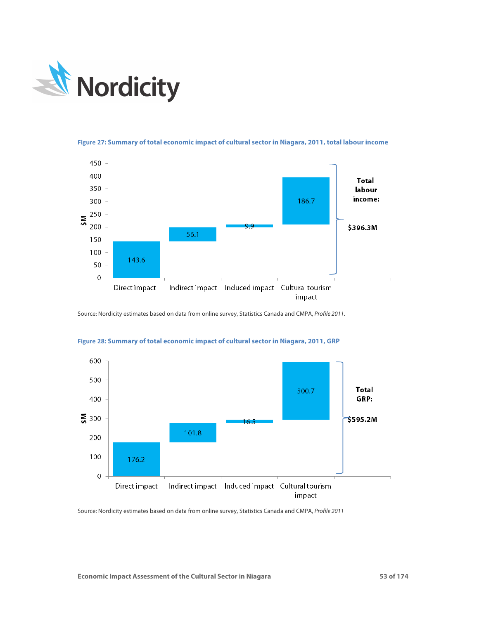



**Figure 27: Summary of total economic impact of cultural sector in Niagara, 2011, total labour income**

Source: Nordicity estimates based on data from online survey, Statistics Canada and CMPA, *Profile 2011*.



#### **Figure 28: Summary of total economic impact of cultural sector in Niagara, 2011, GRP**

Source: Nordicity estimates based on data from online survey, Statistics Canada and CMPA, *Profile 2011*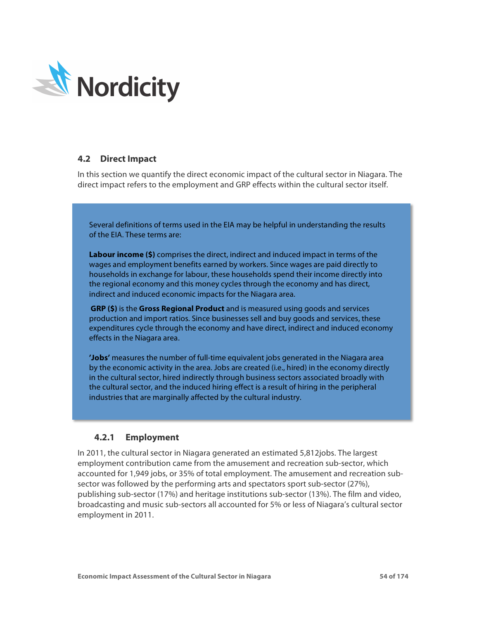

# **4.2 Direct Impact**

In this section we quantify the direct economic impact of the cultural sector in Niagara. The direct impact refers to the employment and GRP effects within the cultural sector itself.

Several definitions of terms used in the EIA may be helpful in understanding the results of the EIA. These terms are:

**Labour income (\$)** comprises the direct, indirect and induced impact in terms of the wages and employment benefits earned by workers. Since wages are paid directly to households in exchange for labour, these households spend their income directly into the regional economy and this money cycles through the economy and has direct, indirect and induced economic impacts for the Niagara area.

**GRP (\$)** is the **Gross Regional Product** and is measured using goods and services production and import ratios. Since businesses sell and buy goods and services, these expenditures cycle through the economy and have direct, indirect and induced economy effects in the Niagara area.

**'Jobs'** measures the number of full-time equivalent jobs generated in the Niagara area by the economic activity in the area. Jobs are created (i.e., hired) in the economy directly in the cultural sector, hired indirectly through business sectors associated broadly with the cultural sector, and the induced hiring effect is a result of hiring in the peripheral industries that are marginally affected by the cultural industry.

# **4.2.1 Employment**

In 2011, the cultural sector in Niagara generated an estimated 5,812jobs. The largest employment contribution came from the amusement and recreation sub-sector, which accounted for 1,949 jobs, or 35% of total employment. The amusement and recreation subsector was followed by the performing arts and spectators sport sub-sector (27%), publishing sub-sector (17%) and heritage institutions sub-sector (13%). The film and video, broadcasting and music sub-sectors all accounted for 5% or less of Niagara's cultural sector employment in 2011.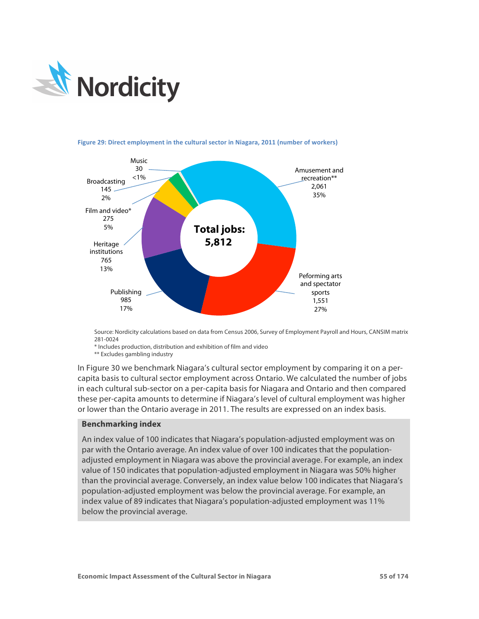



**Figure 29: Direct employment in the cultural sector in Niagara, 2011 (number of workers)** 

Source: Nordicity calculations based on data from Census 2006, Survey of Employment Payroll and Hours, CANSIM matrix 281-0024

\* Includes production, distribution and exhibition of film and video

\*\* Excludes gambling industry

In Figure 30 we benchmark Niagara's cultural sector employment by comparing it on a percapita basis to cultural sector employment across Ontario. We calculated the number of jobs in each cultural sub-sector on a per-capita basis for Niagara and Ontario and then compared these per-capita amounts to determine if Niagara's level of cultural employment was higher or lower than the Ontario average in 2011. The results are expressed on an index basis.

### **Benchmarking index**

An index value of 100 indicates that Niagara's population-adjusted employment was on par with the Ontario average. An index value of over 100 indicates that the populationadjusted employment in Niagara was above the provincial average. For example, an index value of 150 indicates that population-adjusted employment in Niagara was 50% higher than the provincial average. Conversely, an index value below 100 indicates that Niagara's population-adjusted employment was below the provincial average. For example, an index value of 89 indicates that Niagara's population-adjusted employment was 11% below the provincial average.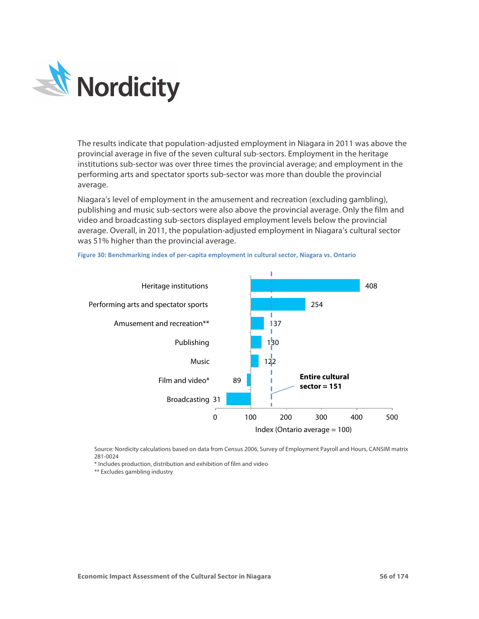

The results indicate that population-adjusted employment in Niagara in 2011 was above the provincial average in five of the seven cultural sub-sectors. Employment in the heritage institutions sub-sector was over three times the provincial average; and employment in the performing arts and spectator sports sub-sector was more than double the provincial average.

Niagara's level of employment in the amusement and recreation (excluding gambling), publishing and music sub-sectors were also above the provincial average. Only the film and video and broadcasting sub-sectors displayed employment levels below the provincial average. Overall, in 2011, the population-adjusted employment in Niagara's cultural sector was 51% higher than the provincial average.



Figure 30: Benchmarking index of per-capita employment in cultural sector, Niagara vs. Ontario

Source: Nordicity calculations based on data from Census 2006, Survey of Employment Payroll and Hours, CANSIM matrix 281-0024

\* Includes production, distribution and exhibition of film and video

\*\* Excludes gambling industry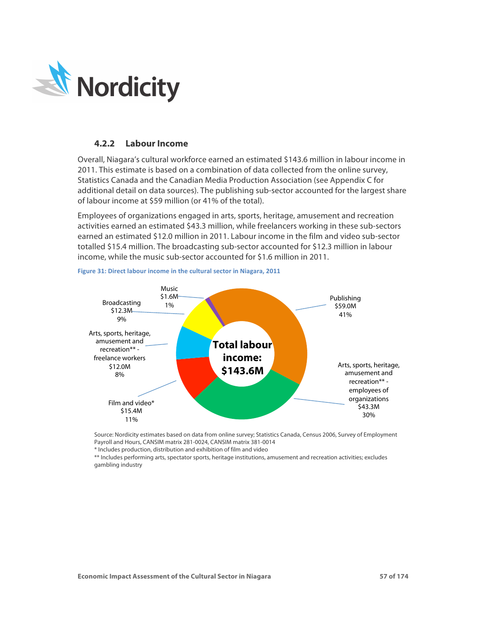

### **4.2.2 Labour Income**

Overall, Niagara's cultural workforce earned an estimated \$143.6 million in labour income in 2011. This estimate is based on a combination of data collected from the online survey, Statistics Canada and the Canadian Media Production Association (see Appendix C for additional detail on data sources). The publishing sub-sector accounted for the largest share of labour income at \$59 million (or 41% of the total).

Employees of organizations engaged in arts, sports, heritage, amusement and recreation activities earned an estimated \$43.3 million, while freelancers working in these sub-sectors earned an estimated \$12.0 million in 2011. Labour income in the film and video sub-sector totalled \$15.4 million. The broadcasting sub-sector accounted for \$12.3 million in labour income, while the music sub-sector accounted for \$1.6 million in 2011.



Figure 31: Direct labour income in the cultural sector in Niagara, 2011

Source: Nordicity estimates based on data from online survey; Statistics Canada, Census 2006, Survey of Employment Payroll and Hours, CANSIM matrix 281-0024, CANSIM matrix 381-0014

\* Includes production, distribution and exhibition of film and video

\*\* Includes performing arts, spectator sports, heritage institutions, amusement and recreation activities; excludes gambling industry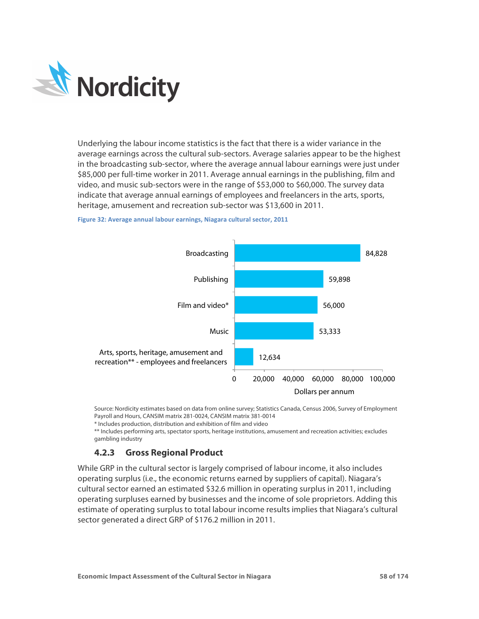

Underlying the labour income statistics is the fact that there is a wider variance in the average earnings across the cultural sub-sectors. Average salaries appear to be the highest in the broadcasting sub-sector, where the average annual labour earnings were just under \$85,000 per full-time worker in 2011. Average annual earnings in the publishing, film and video, and music sub-sectors were in the range of \$53,000 to \$60,000. The survey data indicate that average annual earnings of employees and freelancers in the arts, sports, heritage, amusement and recreation sub-sector was \$13,600 in 2011.





Source: Nordicity estimates based on data from online survey; Statistics Canada, Census 2006, Survey of Employment Payroll and Hours, CANSIM matrix 281-0024, CANSIM matrix 381-0014

\* Includes production, distribution and exhibition of film and video

\*\* Includes performing arts, spectator sports, heritage institutions, amusement and recreation activities; excludes gambling industry

# **4.2.3 Gross Regional Product**

While GRP in the cultural sector is largely comprised of labour income, it also includes operating surplus (i.e., the economic returns earned by suppliers of capital). Niagara's cultural sector earned an estimated \$32.6 million in operating surplus in 2011, including operating surpluses earned by businesses and the income of sole proprietors. Adding this estimate of operating surplus to total labour income results implies that Niagara's cultural sector generated a direct GRP of \$176.2 million in 2011.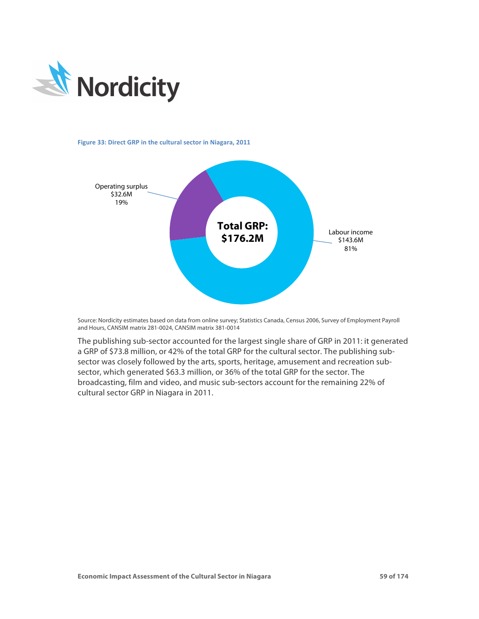

#### Figure 33: Direct GRP in the cultural sector in Niagara, 2011



Source: Nordicity estimates based on data from online survey; Statistics Canada, Census 2006, Survey of Employment Payroll and Hours, CANSIM matrix 281-0024, CANSIM matrix 381-0014

The publishing sub-sector accounted for the largest single share of GRP in 2011: it generated a GRP of \$73.8 million, or 42% of the total GRP for the cultural sector. The publishing subsector was closely followed by the arts, sports, heritage, amusement and recreation subsector, which generated \$63.3 million, or 36% of the total GRP for the sector. The broadcasting, film and video, and music sub-sectors account for the remaining 22% of cultural sector GRP in Niagara in 2011.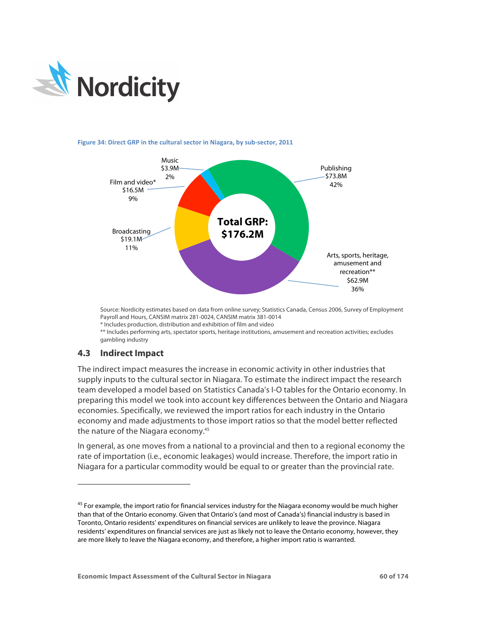

### Figure 34: Direct GRP in the cultural sector in Niagara, by sub-sector, 2011



Source: Nordicity estimates based on data from online survey; Statistics Canada, Census 2006, Survey of Employment Payroll and Hours, CANSIM matrix 281-0024, CANSIM matrix 381-0014

\* Includes production, distribution and exhibition of film and video

\*\* Includes performing arts, spectator sports, heritage institutions, amusement and recreation activities; excludes gambling industry

## **4.3 Indirect Impact**

-

The indirect impact measures the increase in economic activity in other industries that supply inputs to the cultural sector in Niagara. To estimate the indirect impact the research team developed a model based on Statistics Canada's I-O tables for the Ontario economy. In preparing this model we took into account key differences between the Ontario and Niagara economies. Specifically, we reviewed the import ratios for each industry in the Ontario economy and made adjustments to those import ratios so that the model better reflected the nature of the Niagara economy.45

In general, as one moves from a national to a provincial and then to a regional economy the rate of importation (i.e., economic leakages) would increase. Therefore, the import ratio in Niagara for a particular commodity would be equal to or greater than the provincial rate.

<sup>&</sup>lt;sup>45</sup> For example, the import ratio for financial services industry for the Niagara economy would be much higher than that of the Ontario economy. Given that Ontario's (and most of Canada's) financial industry is based in Toronto, Ontario residents' expenditures on financial services are unlikely to leave the province. Niagara residents' expenditures on financial services are just as likely not to leave the Ontario economy, however, they are more likely to leave the Niagara economy, and therefore, a higher import ratio is warranted.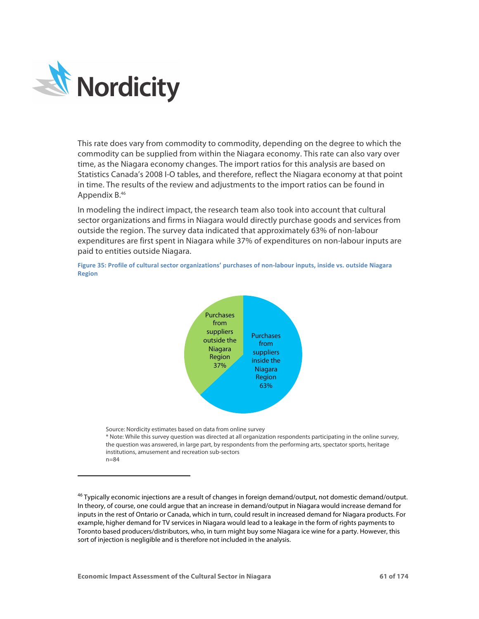

-

This rate does vary from commodity to commodity, depending on the degree to which the commodity can be supplied from within the Niagara economy. This rate can also vary over time, as the Niagara economy changes. The import ratios for this analysis are based on Statistics Canada's 2008 I-O tables, and therefore, reflect the Niagara economy at that point in time. The results of the review and adjustments to the import ratios can be found in Appendix B.46

In modeling the indirect impact, the research team also took into account that cultural sector organizations and firms in Niagara would directly purchase goods and services from outside the region. The survey data indicated that approximately 63% of non-labour expenditures are first spent in Niagara while 37% of expenditures on non-labour inputs are paid to entities outside Niagara.





Source: Nordicity estimates based on data from online survey

\* Note: While this survey question was directed at all organization respondents participating in the online survey, the question was answered, in large part, by respondents from the performing arts, spectator sports, heritage institutions, amusement and recreation sub-sectors n=84

<sup>46</sup> Typically economic injections are a result of changes in foreign demand/output, not domestic demand/output. In theory, of course, one could argue that an increase in demand/output in Niagara would increase demand for inputs in the rest of Ontario or Canada, which in turn, could result in increased demand for Niagara products. For example, higher demand for TV services in Niagara would lead to a leakage in the form of rights payments to Toronto based producers/distributors, who, in turn might buy some Niagara ice wine for a party. However, this sort of injection is negligible and is therefore not included in the analysis.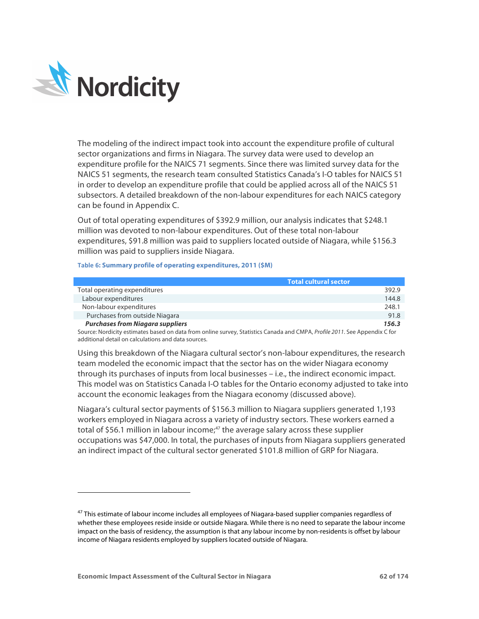

-

The modeling of the indirect impact took into account the expenditure profile of cultural sector organizations and firms in Niagara. The survey data were used to develop an expenditure profile for the NAICS 71 segments. Since there was limited survey data for the NAICS 51 segments, the research team consulted Statistics Canada's I-O tables for NAICS 51 in order to develop an expenditure profile that could be applied across all of the NAICS 51 subsectors. A detailed breakdown of the non-labour expenditures for each NAICS category can be found in Appendix C.

Out of total operating expenditures of \$392.9 million, our analysis indicates that \$248.1 million was devoted to non-labour expenditures. Out of these total non-labour expenditures, \$91.8 million was paid to suppliers located outside of Niagara, while \$156.3 million was paid to suppliers inside Niagara.

#### **Table 6: Summary profile of operating expenditures, 2011 (\$M)**

|                                         | <b>Total cultural sector</b> |  |
|-----------------------------------------|------------------------------|--|
| Total operating expenditures            | 392.9                        |  |
| Labour expenditures                     | 144.8                        |  |
| Non-labour expenditures                 | 248.1                        |  |
| Purchases from outside Niagara          | 91.8                         |  |
| <b>Purchases from Niagara suppliers</b> | 156.3                        |  |

Source: Nordicity estimates based on data from online survey, Statistics Canada and CMPA, *Profile 2011*. See Appendix C for additional detail on calculations and data sources.

Using this breakdown of the Niagara cultural sector's non-labour expenditures, the research team modeled the economic impact that the sector has on the wider Niagara economy through its purchases of inputs from local businesses – i.e., the indirect economic impact. This model was on Statistics Canada I-O tables for the Ontario economy adjusted to take into account the economic leakages from the Niagara economy (discussed above).

Niagara's cultural sector payments of \$156.3 million to Niagara suppliers generated 1,193 workers employed in Niagara across a variety of industry sectors. These workers earned a total of \$56.1 million in labour income; $47$  the average salary across these supplier occupations was \$47,000. In total, the purchases of inputs from Niagara suppliers generated an indirect impact of the cultural sector generated \$101.8 million of GRP for Niagara.

<sup>&</sup>lt;sup>47</sup> This estimate of labour income includes all employees of Niagara-based supplier companies regardless of whether these employees reside inside or outside Niagara. While there is no need to separate the labour income impact on the basis of residency, the assumption is that any labour income by non-residents is offset by labour income of Niagara residents employed by suppliers located outside of Niagara.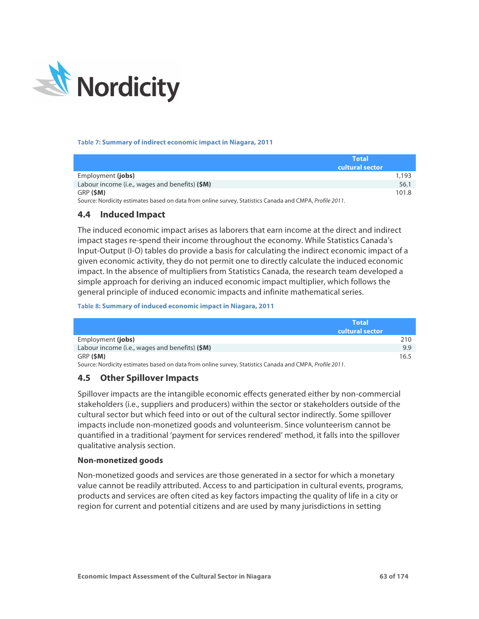

#### **Table 7: Summary of indirect economic impact in Niagara, 2011**

| <b>Total</b><br>cultural sector                                                                         |       |
|---------------------------------------------------------------------------------------------------------|-------|
| Employment (jobs)                                                                                       | 1,193 |
| Labour income (i.e., wages and benefits) (\$M)                                                          | 56.1  |
| GRP (SM)                                                                                                | 101.8 |
| Source: Nordicity estimates based on data from online survey, Statistics Canada and CMPA, Profile 2011. |       |

## **4.4 Induced Impact**

The induced economic impact arises as laborers that earn income at the direct and indirect impact stages re-spend their income throughout the economy. While Statistics Canada's Input-Output (I-O) tables do provide a basis for calculating the indirect economic impact of a given economic activity, they do not permit one to directly calculate the induced economic impact. In the absence of multipliers from Statistics Canada, the research team developed a simple approach for deriving an induced economic impact multiplier, which follows the general principle of induced economic impacts and infinite mathematical series.

#### **Table 8: Summary of induced economic impact in Niagara, 2011**

|                                                                                                         | Total           |
|---------------------------------------------------------------------------------------------------------|-----------------|
|                                                                                                         | cultural sector |
| Employment (jobs)                                                                                       | 210             |
| Labour income (i.e., wages and benefits) (\$M)                                                          | 9.9             |
| GRP (SM)                                                                                                | 16.5            |
| Source: Nordicity estimates based on data from online survey, Statistics Canada and CMPA, Profile 2011. |                 |

## **4.5 Other Spillover Impacts**

Spillover impacts are the intangible economic effects generated either by non-commercial stakeholders (i.e., suppliers and producers) within the sector or stakeholders outside of the cultural sector but which feed into or out of the cultural sector indirectly. Some spillover impacts include non-monetized goods and volunteerism. Since volunteerism cannot be quantified in a traditional 'payment for services rendered' method, it falls into the spillover qualitative analysis section.

### **Non-monetized goods**

Non-monetized goods and services are those generated in a sector for which a monetary value cannot be readily attributed. Access to and participation in cultural events, programs, products and services are often cited as key factors impacting the quality of life in a city or region for current and potential citizens and are used by many jurisdictions in setting